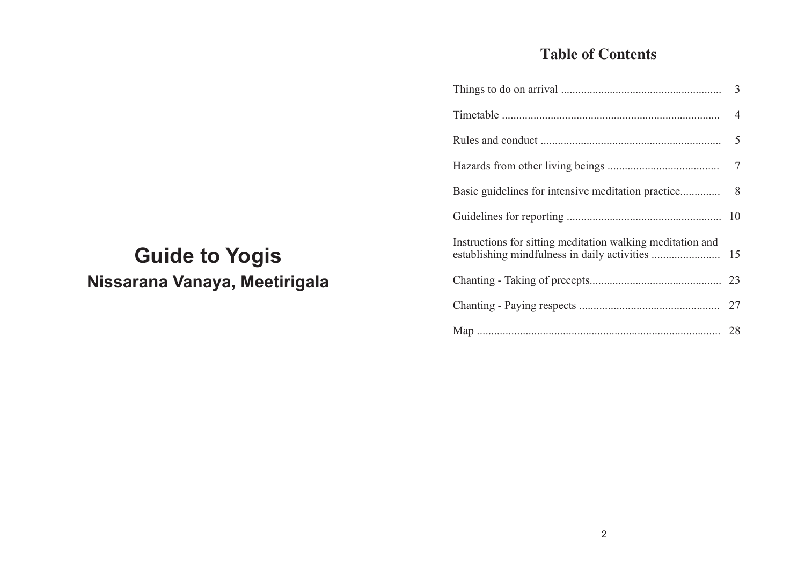## **Table of Contents**

|                                                            | 8 |
|------------------------------------------------------------|---|
|                                                            |   |
| Instructions for sitting meditation walking meditation and |   |
|                                                            |   |
|                                                            |   |
|                                                            |   |

# **Guide to Yogis Nissarana Vanaya, Meetirigala**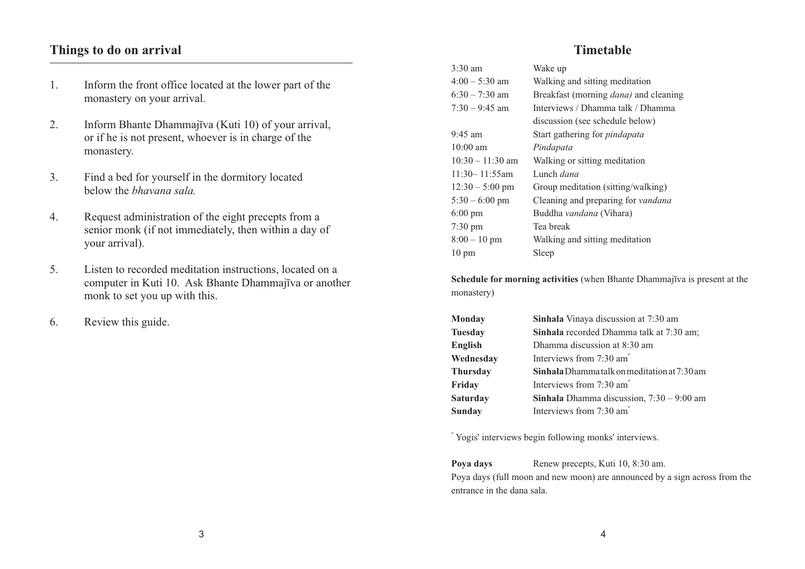## **Things to do on arrival**

- 1. Inform the front office located at the lower part of the monastery on your arrival.
- 2. Inform Bhante Dhammajīva (Kuti 10) of your arrival, or if he is not present, whoever is in charge of the monastery.
- 3. Find a bed for yourself in the dormitory located below the *bhavana sala.*
- 4. Request administration of the eight precepts from a senior monk (if not immediately, then within a day of your arrival).
- 5. Listen to recorded meditation instructions, located on a computer in Kuti 10. Ask Bhante Dhammajīva or another monk to set you up with this.
- 6. Review this guide.

## **Timetable**

| 3:30 am            | Wake up                                       |
|--------------------|-----------------------------------------------|
| 4:00 – 5:30 am     | Walking and sitting meditation                |
| $6:30 - 7:30$ am   | Breakfast (morning <i>dana</i> ) and cleaning |
| $7:30 - 9:45$ am   | Interviews / Dhamma talk / Dhamma             |
|                    | discussion (see schedule below)               |
| 9:45 am            | Start gathering for <i>pindapata</i>          |
| $10:00$ am         | Pindapata                                     |
| $10:30 - 11:30$ am | Walking or sitting meditation                 |
| $11:30 - 11:55am$  | Lunch <i>dana</i>                             |
| $12:30 - 5:00$ pm  | Group meditation (sitting/walking)            |
| $5:30 - 6:00$ pm   | Cleaning and preparing for vandana            |
| $6:00 \text{ pm}$  | Buddha vandana (Vihara)                       |
| $7:30 \text{ pm}$  | Tea break                                     |
| $8:00 - 10$ pm     | Walking and sitting meditation                |
| $10 \text{ pm}$    | Sleep                                         |
|                    |                                               |

**Schedule for morning activities** (when Bhante Dhammajīva is present at the monastery)

| <b>Monday</b>   | Sinhala Vinaya discussion at 7:30 am                |
|-----------------|-----------------------------------------------------|
| <b>Tuesday</b>  | Sinhala recorded Dhamma talk at 7:30 am;            |
| English         | Dhamma discussion at 8:30 am                        |
| Wednesday       | Interviews from 7:30 am <sup>*</sup>                |
| <b>Thursday</b> | <b>Sinhala</b> Dhamma talk on meditation at 7:30 am |
| Friday          | Interviews from 7:30 am <sup>*</sup>                |
| Saturday        | <b>Sinhala</b> Dhamma discussion, $7:30 - 9:00$ am  |
| Sunday          | Interviews from 7:30 am <sup>*</sup>                |

\* Yogis' interviews begin following monks' interviews.

**Poya days** Renew precepts, Kuti 10, 8:30 am. Poya days (full moon and new moon) are announced by a sign across from the entrance in the dana sala.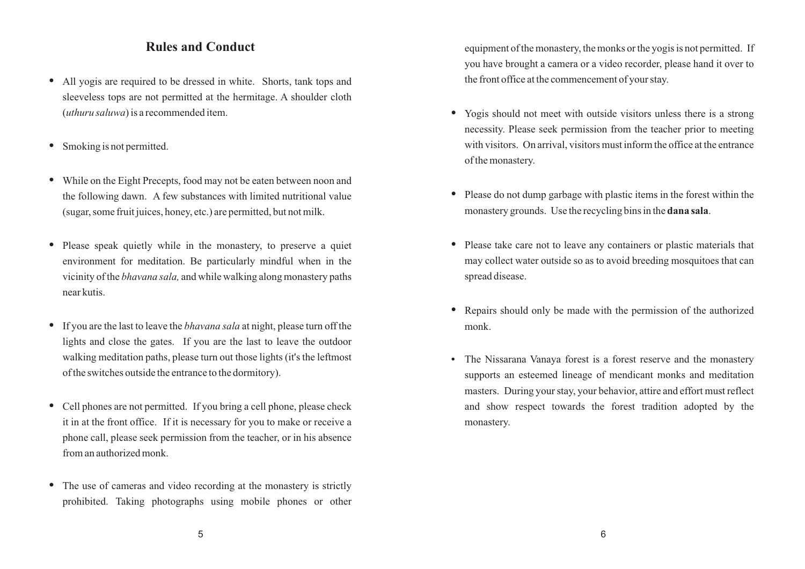## **Rules and Conduct**

- **•** All yogis are required to be dressed in white. Shorts, tank tops and sleeveless tops are not permitted at the hermitage. A shoulder cloth (*uthuru saluwa*) is a recommended item.
- Smoking is not permitted.
- **•** While on the Eight Precepts, food may not be eaten between noon and the following dawn. A few substances with limited nutritional value (sugar, some fruit juices, honey, etc.) are permitted, but not milk.
- Please speak quietly while in the monastery, to preserve a quiet environment for meditation. Be particularly mindful when in the vicinity of the *bhavana sala,* and while walking along monastery paths near kutis.
- **•** If you are the last to leave the *bhavana sala* at night, please turn off the lights and close the gates. If you are the last to leave the outdoor walking meditation paths, please turn out those lights (it's the leftmost of the switches outside the entrance to the dormitory).
- **•** Cell phones are not permitted. If you bring a cell phone, please check it in at the front office. If it is necessary for you to make or receive a phone call, please seek permission from the teacher, or in his absence from an authorized monk.
- The use of cameras and video recording at the monastery is strictly prohibited. Taking photographs using mobile phones or other

equipment of the monastery, the monks or the yogis is not permitted. If you have brought a camera or a video recorder, please hand it over to the front office at the commencement of your stay.

- **•** Yogis should not meet with outside visitors unless there is a strong necessity. Please seek permission from the teacher prior to meeting with visitors. On arrival, visitors must inform the office at the entrance of the monastery.
- **•** Please do not dump garbage with plastic items in the forest within the monastery grounds. Use the recycling bins in the **dana sala**.
- **•** Please take care not to leave any containers or plastic materials that may collect water outside so as to avoid breeding mosquitoes that can spread disease.
- **•** Repairs should only be made with the permission of the authorized monk.
- **•** The Nissarana Vanaya forest is a forest reserve and the monastery supports an esteemed lineage of mendicant monks and meditation masters. During your stay, your behavior, attire and effort must reflect and show respect towards the forest tradition adopted by the monastery.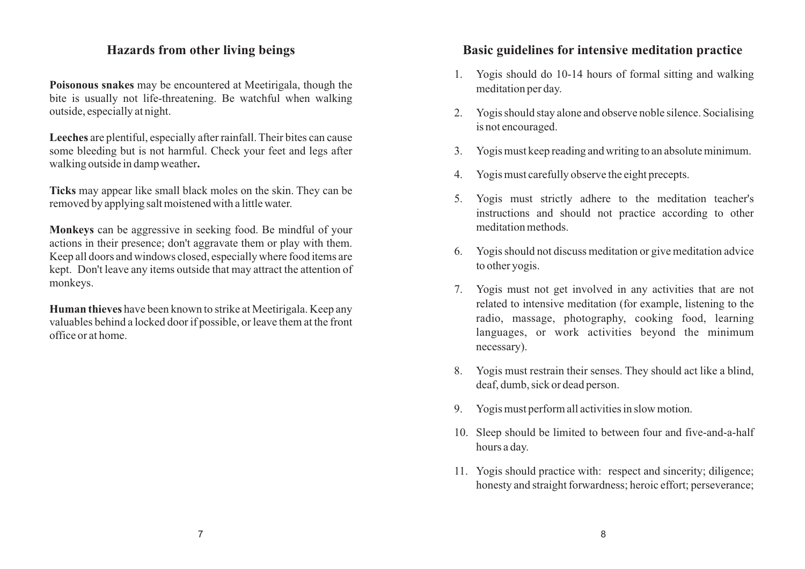## **Hazards from other living beings**

**Poisonous snakes** may be encountered at Meetirigala, though the bite is usually not life-threatening. Be watchful when walking outside, especially at night.

**Leeches** are plentiful, especially after rainfall. Their bites can cause some bleeding but is not harmful. Check your feet and legs after walking outside in damp weather**.**

**Ticks** may appear like small black moles on the skin. They can be removed by applying salt moistened with a little water.

**Monkeys** can be aggressive in seeking food. Be mindful of your actions in their presence; don't aggravate them or play with them. Keep all doors and windows closed, especially where food items are kept. Don't leave any items outside that may attract the attention of monkeys.

**Human thieves** have been known to strike at Meetirigala. Keep any valuables behind a locked door if possible, or leave them at the front office or at home.

## **Basic guidelines for intensive meditation practice**

- 1. Yogis should do 10-14 hours of formal sitting and walking meditation per day.
- 2. Yogis should stay alone and observe noble silence. Socialising is not encouraged.
- 3. Yogis must keep reading and writing to an absolute minimum.
- 4. Yogis must carefully observe the eight precepts.
- 5. Yogis must strictly adhere to the meditation teacher's instructions and should not practice according to other meditation methods.
- 6. Yogis should not discuss meditation or give meditation advice to other yogis.
- 7. Yogis must not get involved in any activities that are not related to intensive meditation (for example, listening to the radio, massage, photography, cooking food, learning languages, or work activities beyond the minimum necessary).
- 8. Yogis must restrain their senses. They should act like a blind, deaf, dumb, sick or dead person.
- 9. Yogis must perform all activities in slow motion.
- 10. Sleep should be limited to between four and five-and-a-half hours a day.
- 11. Yogis should practice with: respect and sincerity; diligence; honesty and straight forwardness; heroic effort; perseverance;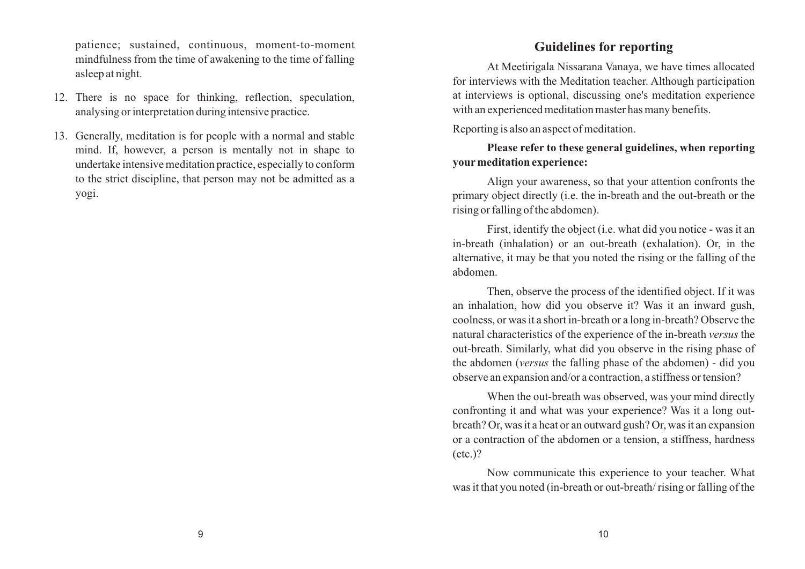patience; sustained, continuous, moment-to-moment mindfulness from the time of awakening to the time of falling asleep at night.

- 12. There is no space for thinking, reflection, speculation, analysing or interpretation during intensive practice.
- 13. Generally, meditation is for people with a normal and stable mind. If, however, a person is mentally not in shape to undertake intensive meditation practice, especially to conform to the strict discipline, that person may not be admitted as a yogi.

## **Guidelines for reporting**

At Meetirigala Nissarana Vanaya, we have times allocated for interviews with the Meditation teacher. Although participation at interviews is optional, discussing one's meditation experience with an experienced meditation master has many benefits.

Reporting is also an aspect of meditation.

## **Please refer to these general guidelines, when reporting yourmeditation experience:**

Align your awareness, so that your attention confronts the primary object directly (i.e. the in-breath and the out-breath or the rising or falling of the abdomen).

First, identify the object (i.e. what did you notice - was it an in-breath (inhalation) or an out-breath (exhalation). Or, in the alternative, it may be that you noted the rising or the falling of the abdomen.

Then, observe the process of the identified object. If it was an inhalation, how did you observe it? Was it an inward gush, coolness, or was it a short in-breath or a long in-breath? Observe the natural characteristics of the experience of the in-breath *versus* the out-breath. Similarly, what did you observe in the rising phase of the abdomen (*versus* the falling phase of the abdomen) - did you observe an expansion and/or a contraction, a stiffness or tension?

When the out-breath was observed, was your mind directly confronting it and what was your experience? Was it a long outbreath? Or, was it a heat or an outward gush? Or, was it an expansion or a contraction of the abdomen or a tension, a stiffness, hardness (etc.)?

Now communicate this experience to your teacher. What was it that you noted (in-breath or out-breath/ rising or falling of the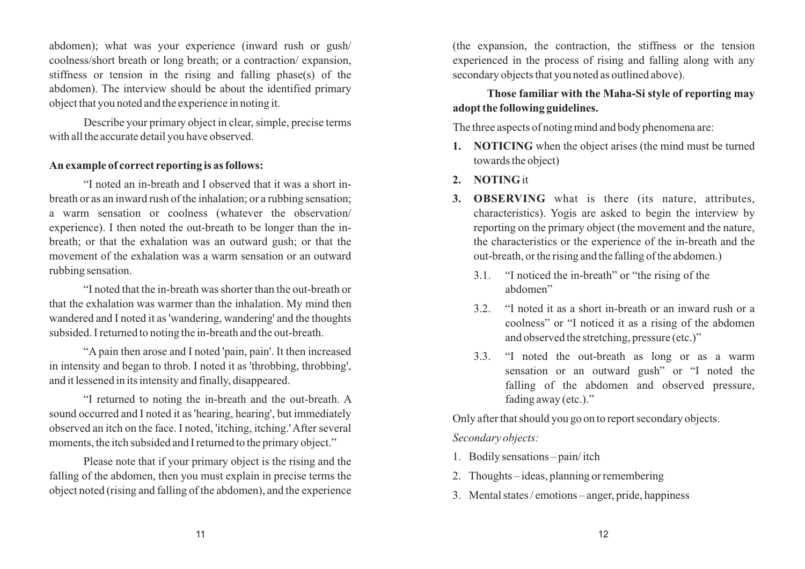abdomen); what was your experience (inward rush or gush/ coolness/short breath or long breath; or a contraction/ expansion, stiffness or tension in the rising and falling phase(s) of the abdomen). The interview should be about the identified primary object that you noted and the experience in noting it.

Describe your primary object in clear, simple, precise terms with all the accurate detail you have observed.

## **An example of correct reporting is as follows:**

"I noted an in-breath and I observed that it was a short inbreath or as an inward rush of the inhalation; or a rubbing sensation; a warm sensation or coolness (whatever the observation/ experience). I then noted the out-breath to be longer than the inbreath; or that the exhalation was an outward gush; or that the movement of the exhalation was a warm sensation or an outward rubbing sensation.

"I noted that the in-breath was shorter than the out-breath or that the exhalation was warmer than the inhalation. My mind then wandered and I noted it as 'wandering, wandering' and the thoughts subsided. I returned to noting the in-breath and the out-breath.

"A pain then arose and I noted 'pain, pain'. It then increased in intensity and began to throb. I noted it as 'throbbing, throbbing', and it lessened in its intensity and finally, disappeared.

"I returned to noting the in-breath and the out-breath. A sound occurred and I noted it as 'hearing, hearing', but immediately observed an itch on the face. I noted, 'itching, itching.' After several moments, the itch subsided and I returned to the primary object."

Please note that if your primary object is the rising and the falling of the abdomen, then you must explain in precise terms the object noted (rising and falling of the abdomen), and the experience

(the expansion, the contraction, the stiffness or the tension experienced in the process of rising and falling along with any secondary objects that you noted as outlined above).

## **Those familiar with the Maha-Si style of reporting may adopt the following guidelines.**

The three aspects of noting mind and body phenomena are:

- **1. NOTICING** when the object arises (the mind must be turned towards the object)
- **2. NOTING** it
- **3. OBSERVING** what is there (its nature, attributes, characteristics). Yogis are asked to begin the interview by reporting on the primary object (the movement and the nature, the characteristics or the experience of the in-breath and the out-breath, or the rising and the falling of the abdomen.)
	- 3.1. "I noticed the in-breath" or "the rising of the abdomen"
	- 3.2. "I noted it as a short in-breath or an inward rush or a coolness" or "I noticed it as a rising of the abdomen and observed the stretching, pressure (etc.)"
	- 3.3. "I noted the out-breath as long or as a warm sensation or an outward gush" or "I noted the falling of the abdomen and observed pressure, fading away (etc.)."

Only after that should you go on to report secondary objects.

*Secondary objects:*

- 1. Bodily sensations pain/ itch
- 2. Thoughts ideas, planning or remembering
- 3. Mental states / emotions anger, pride, happiness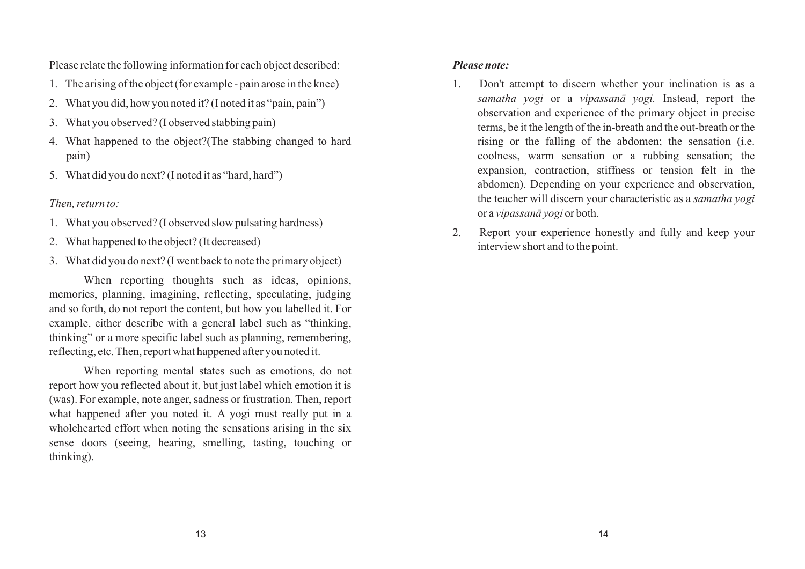Please relate the following information for each object described:

- 1. The arising of the object (for example pain arose in the knee)
- 2. What you did, how you noted it? (I noted it as "pain, pain")
- 3. What you observed? (I observed stabbing pain)
- 4. What happened to the object?(The stabbing changed to hard pain)
- 5. What did you do next? (I noted it as "hard, hard")

#### *Then, return to:*

- 1. What you observed? (I observed slow pulsating hardness)
- 2. What happened to the object? (It decreased)
- 3. What did you do next? (I went back to note the primary object)

When reporting thoughts such as ideas, opinions, memories, planning, imagining, reflecting, speculating, judging and so forth, do not report the content, but how you labelled it. For example, either describe with a general label such as "thinking, thinking" or a more specific label such as planning, remembering, reflecting, etc. Then, report what happened after you noted it.

When reporting mental states such as emotions, do not report how you reflected about it, but just label which emotion it is (was). For example, note anger, sadness or frustration. Then, report what happened after you noted it. A yogi must really put in a wholehearted effort when noting the sensations arising in the six sense doors (seeing, hearing, smelling, tasting, touching or thinking).

#### *Please note:*

- 1. Don't attempt to discern whether your inclination is as a *samatha yogi* or a *vipassanā yogi.* Instead, report the observation and experience of the primary object in precise terms, be it the length of the in-breath and the out-breath or the rising or the falling of the abdomen; the sensation (i.e. coolness, warm sensation or a rubbing sensation; the expansion, contraction, stiffness or tension felt in the abdomen). Depending on your experience and observation, the teacher will discern your characteristic as a *samatha yogi*  or a *vipassanā yogi* or both.
- 2. Report your experience honestly and fully and keep your interview short and to the point.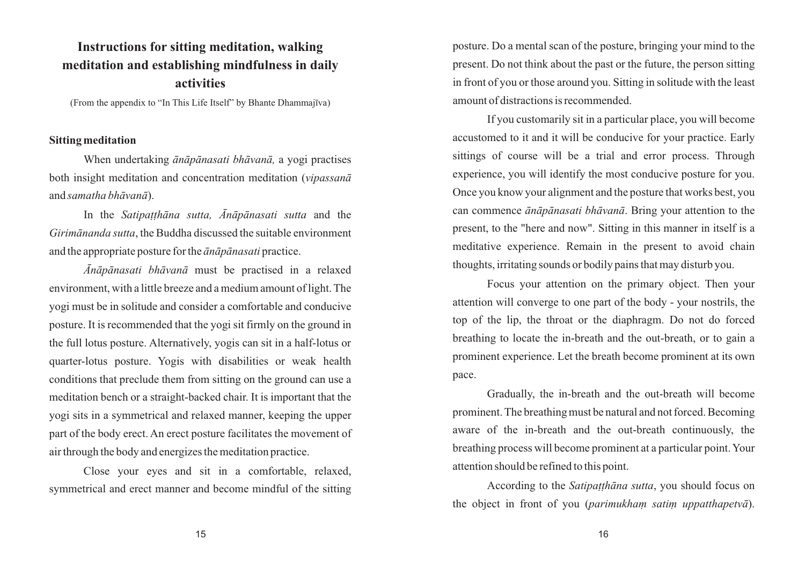## **Instructions for sitting meditation, walking meditation and establishing mindfulness in daily activities**

(From the appendix to "In This Life Itself" by Bhante Dhammajīva)

#### **Sitting meditation**

When undertaking *ānāpānasati bhāvanā,* a yogi practises both insight meditation and concentration meditation (*vipassanā* and *samatha bhāvanā*).

In the *Satipaṭṭhāna sutta, Ānāpānasati sutta* and the *Girimānanda sutta*, the Buddha discussed the suitable environment and the appropriate posture for the *ānāpānasati* practice.

*Ānāpānasati bhāvanā* must be practised in a relaxed environment, with a little breeze and a medium amount of light. The yogi must be in solitude and consider a comfortable and conducive posture. It is recommended that the yogi sit firmly on the ground in the full lotus posture. Alternatively, yogis can sit in a half-lotus or quarter-lotus posture. Yogis with disabilities or weak health conditions that preclude them from sitting on the ground can use a meditation bench or a straight-backed chair. It is important that the yogi sits in a symmetrical and relaxed manner, keeping the upper part of the body erect. An erect posture facilitates the movement of air through the body and energizes the meditation practice.

Close your eyes and sit in a comfortable, relaxed, symmetrical and erect manner and become mindful of the sitting posture. Do a mental scan of the posture, bringing your mind to the present. Do not think about the past or the future, the person sitting in front of you or those around you. Sitting in solitude with the least amount of distractions is recommended.

If you customarily sit in a particular place, you will become accustomed to it and it will be conducive for your practice. Early sittings of course will be a trial and error process. Through experience, you will identify the most conducive posture for you. Once you know your alignment and the posture that works best, you can commence *ānāpānasati bhāvanā*. Bring your attention to the present, to the "here and now". Sitting in this manner in itself is a meditative experience. Remain in the present to avoid chain thoughts, irritating sounds or bodily pains that may disturb you.

Focus your attention on the primary object. Then your attention will converge to one part of the body - your nostrils, the top of the lip, the throat or the diaphragm. Do not do forced breathing to locate the in-breath and the out-breath, or to gain a prominent experience. Let the breath become prominent at its own pace.

Gradually, the in-breath and the out-breath will become prominent. The breathing must be natural and not forced. Becoming aware of the in-breath and the out-breath continuously, the breathing process will become prominent at a particular point. Your attention should be refined to this point.

According to the *Satipaṭṭhāna sutta*, you should focus on the object in front of you (*parimukhaṃ satiṃ uppatthapetvā*).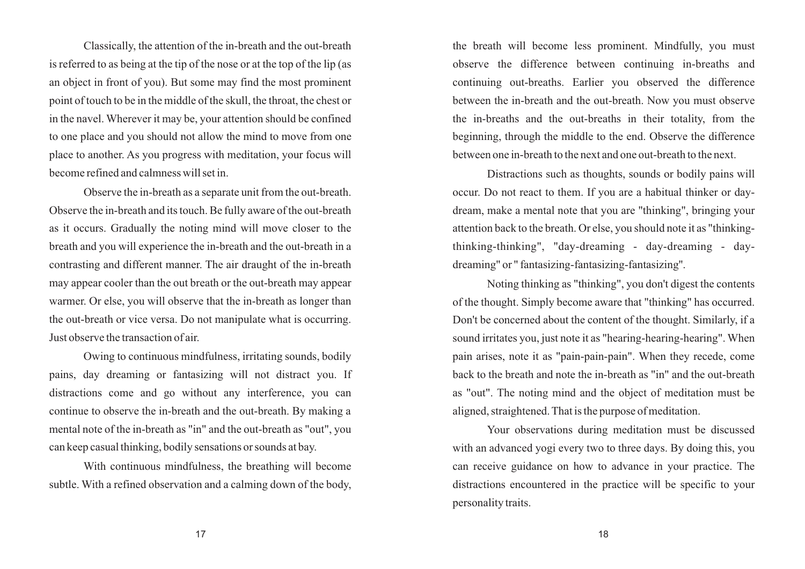Classically, the attention of the in-breath and the out-breath is referred to as being at the tip of the nose or at the top of the lip (as an object in front of you). But some may find the most prominent point of touch to be in the middle of the skull, the throat, the chest or in the navel. Wherever it may be, your attention should be confined to one place and you should not allow the mind to move from one place to another. As you progress with meditation, your focus will become refined and calmness will set in.

Observe the in-breath as a separate unit from the out-breath. Observe the in-breath and its touch. Be fully aware of the out-breath as it occurs. Gradually the noting mind will move closer to the breath and you will experience the in-breath and the out-breath in a contrasting and different manner. The air draught of the in-breath may appear cooler than the out breath or the out-breath may appear warmer. Or else, you will observe that the in-breath as longer than the out-breath or vice versa. Do not manipulate what is occurring. Just observe the transaction of air.

Owing to continuous mindfulness, irritating sounds, bodily pains, day dreaming or fantasizing will not distract you. If distractions come and go without any interference, you can continue to observe the in-breath and the out-breath. By making a mental note of the in-breath as "in" and the out-breath as "out", you can keep casual thinking, bodily sensations or sounds at bay.

With continuous mindfulness, the breathing will become subtle. With a refined observation and a calming down of the body, the breath will become less prominent. Mindfully, you must observe the difference between continuing in-breaths and continuing out-breaths. Earlier you observed the difference between the in-breath and the out-breath. Now you must observe the in-breaths and the out-breaths in their totality, from the beginning, through the middle to the end. Observe the difference between one in-breath to the next and one out-breath to the next.

Distractions such as thoughts, sounds or bodily pains will occur. Do not react to them. If you are a habitual thinker or daydream, make a mental note that you are "thinking", bringing your attention back to the breath. Or else, you should note it as "thinkingthinking-thinking", "day-dreaming - day-dreaming - daydreaming" or " fantasizing-fantasizing-fantasizing''.

Noting thinking as "thinking", you don't digest the contents of the thought. Simply become aware that "thinking" has occurred. Don't be concerned about the content of the thought. Similarly, if a sound irritates you, just note it as "hearing-hearing-hearing". When pain arises, note it as "pain-pain-pain". When they recede, come back to the breath and note the in-breath as "in" and the out-breath as "out". The noting mind and the object of meditation must be aligned, straightened. That is the purpose of meditation.

Your observations during meditation must be discussed with an advanced yogi every two to three days. By doing this, you can receive guidance on how to advance in your practice. The distractions encountered in the practice will be specific to your personality traits.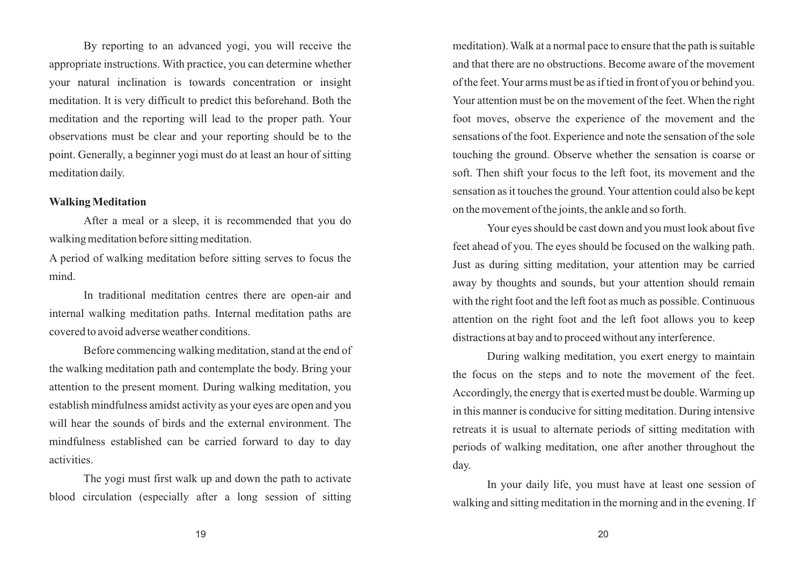By reporting to an advanced yogi, you will receive the appropriate instructions. With practice, you can determine whether your natural inclination is towards concentration or insight meditation. It is very difficult to predict this beforehand. Both the meditation and the reporting will lead to the proper path. Your observations must be clear and your reporting should be to the point. Generally, a beginner yogi must do at least an hour of sitting meditation daily.

#### **Walking Meditation**

After a meal or a sleep, it is recommended that you do walking meditation before sitting meditation.

A period of walking meditation before sitting serves to focus the mind.

In traditional meditation centres there are open-air and internal walking meditation paths. Internal meditation paths are covered to avoid adverse weather conditions.

Before commencing walking meditation, stand at the end of the walking meditation path and contemplate the body. Bring your attention to the present moment. During walking meditation, you establish mindfulness amidst activity as your eyes are open and you will hear the sounds of birds and the external environment. The mindfulness established can be carried forward to day to day activities.

The yogi must first walk up and down the path to activate blood circulation (especially after a long session of sitting meditation). Walk at a normal pace to ensure that the path is suitable and that there are no obstructions. Become aware of the movement of the feet. Your arms must be as if tied in front of you or behind you. Your attention must be on the movement of the feet. When the right foot moves, observe the experience of the movement and the sensations of the foot. Experience and note the sensation of the sole touching the ground. Observe whether the sensation is coarse or soft. Then shift your focus to the left foot, its movement and the sensation as it touches the ground. Your attention could also be kept on the movement of the joints, the ankle and so forth.

Your eyes should be cast down and you must look about five feet ahead of you. The eyes should be focused on the walking path. Just as during sitting meditation, your attention may be carried away by thoughts and sounds, but your attention should remain with the right foot and the left foot as much as possible. Continuous attention on the right foot and the left foot allows you to keep distractions at bay and to proceed without any interference.

During walking meditation, you exert energy to maintain the focus on the steps and to note the movement of the feet. Accordingly, the energy that is exerted must be double. Warming up in this manner is conducive for sitting meditation. During intensive retreats it is usual to alternate periods of sitting meditation with periods of walking meditation, one after another throughout the day.

In your daily life, you must have at least one session of walking and sitting meditation in the morning and in the evening. If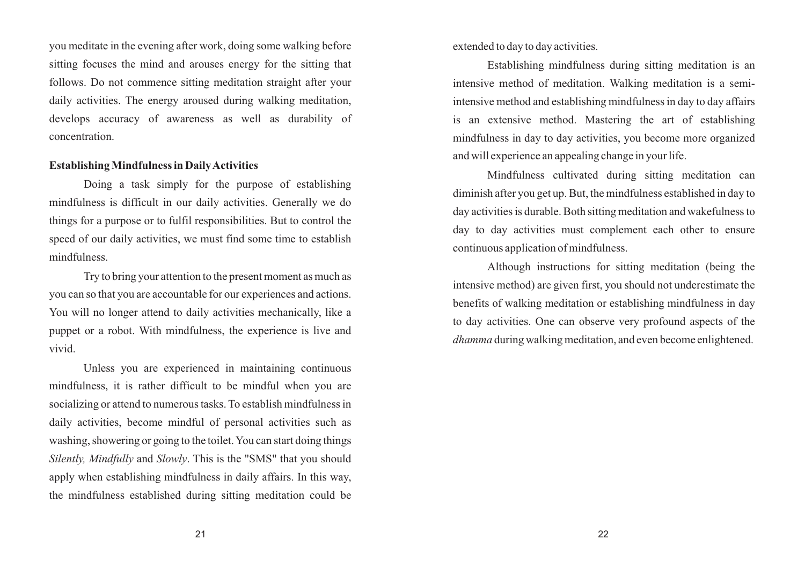you meditate in the evening after work, doing some walking before sitting focuses the mind and arouses energy for the sitting that follows. Do not commence sitting meditation straight after your daily activities. The energy aroused during walking meditation, develops accuracy of awareness as well as durability of concentration.

#### **Establishing Mindfulness in Daily Activities**

Doing a task simply for the purpose of establishing mindfulness is difficult in our daily activities. Generally we do things for a purpose or to fulfil responsibilities. But to control the speed of our daily activities, we must find some time to establish mindfulness.

Try to bring your attention to the present moment as much as you can so that you are accountable for our experiences and actions. You will no longer attend to daily activities mechanically, like a puppet or a robot. With mindfulness, the experience is live and vivid.

Unless you are experienced in maintaining continuous mindfulness, it is rather difficult to be mindful when you are socializing or attend to numerous tasks. To establish mindfulness in daily activities, become mindful of personal activities such as washing, showering or going to the toilet. You can start doing things *Silently, Mindfully* and *Slowly*. This is the "SMS" that you should apply when establishing mindfulness in daily affairs. In this way, the mindfulness established during sitting meditation could be extended to day to day activities.

Establishing mindfulness during sitting meditation is an intensive method of meditation. Walking meditation is a semiintensive method and establishing mindfulness in day to day affairs is an extensive method. Mastering the art of establishing mindfulness in day to day activities, you become more organized and will experience an appealing change in your life.

Mindfulness cultivated during sitting meditation can diminish after you get up. But, the mindfulness established in day to day activities is durable. Both sitting meditation and wakefulness to day to day activities must complement each other to ensure continuous application of mindfulness.

Although instructions for sitting meditation (being the intensive method) are given first, you should not underestimate the benefits of walking meditation or establishing mindfulness in day to day activities. One can observe very profound aspects of the *dhamma* during walking meditation, and even become enlightened.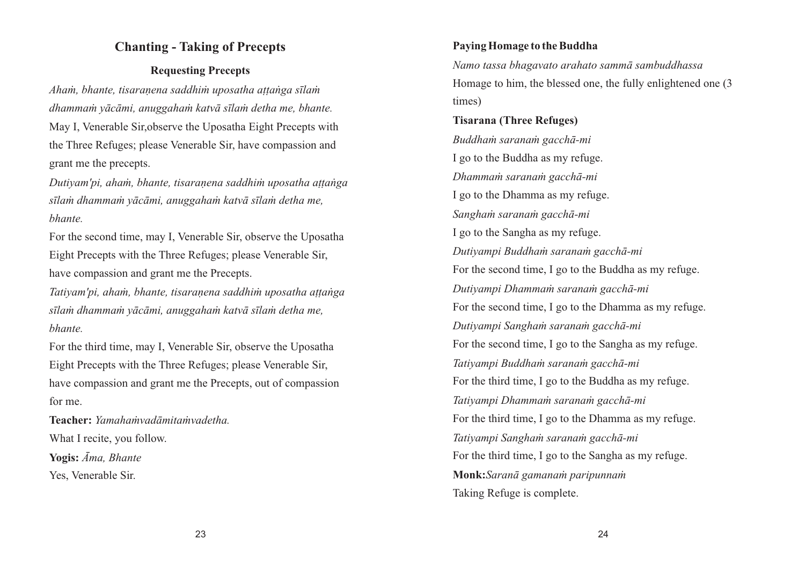## **Chanting - Taking of Precepts**

## **Requesting Precepts**

*Ahaṁ, bhante, tisaraṇena saddhiṁ uposatha aṭṭaṅga sīlaṁ dhammaṁ yācāmi, anuggahaṁ katvā sīlaṁ detha me, bhante.* May I, Venerable Sir,observe the Uposatha Eight Precepts with the Three Refuges; please Venerable Sir, have compassion and grant me the precepts.

*Dutiyam'pi, ahaṁ, bhante, tisaraṇena saddhiṁ uposatha aṭṭaṅga sīlaṁ dhammaṁ yācāmi, anuggahaṁ katvā sīlaṁ detha me, bhante.*

For the second time, may I, Venerable Sir, observe the Uposatha Eight Precepts with the Three Refuges; please Venerable Sir, have compassion and grant me the Precepts.

*Tatiyam'pi, ahaṁ, bhante, tisaraṇena saddhiṁ uposatha aṭṭaṅga sīlaṁ dhammaṁ yācāmi, anuggahaṁ katvā sīlaṁ detha me, bhante.*

For the third time, may I, Venerable Sir, observe the Uposatha Eight Precepts with the Three Refuges; please Venerable Sir, have compassion and grant me the Precepts, out of compassion for me.

**Teacher:** *Yamahaṁvadāmitaṁvadetha.* What I recite, you follow.

**Yogis:** *Āma, Bhante* Yes, Venerable Sir.

## **Paying Homage to the Buddha**

*Namo tassa bhagavato arahato sammā sambuddhassa* Homage to him, the blessed one, the fully enlightened one (3 times)

### **Tisarana (Three Refuges)**

*Buddhaṁ saranaṁ gacchā-mi* I go to the Buddha as my refuge. *Dhammaṁ saranaṁ gacchā-mi* I go to the Dhamma as my refuge. *Sanghaṁ saranaṁ gacchā-mi* I go to the Sangha as my refuge. *Dutiyampi Buddhaṁ saranaṁ gacchā-mi* For the second time, I go to the Buddha as my refuge. *Dutiyampi Dhammaṁ saranaṁ gacchā-mi* For the second time, I go to the Dhamma as my refuge. *Dutiyampi Sanghaṁ saranaṁ gacchā-mi* For the second time, I go to the Sangha as my refuge. *Tatiyampi Buddhaṁ saranaṁ gacchā-mi* For the third time, I go to the Buddha as my refuge. *Tatiyampi Dhammaṁ saranaṁ gacchā-mi* For the third time, I go to the Dhamma as my refuge. *Tatiyampi Sanghaṁ saranaṁ gacchā-mi* For the third time, I go to the Sangha as my refuge. **Monk:***Saranā gamanaṁ paripunnaṁ* Taking Refuge is complete.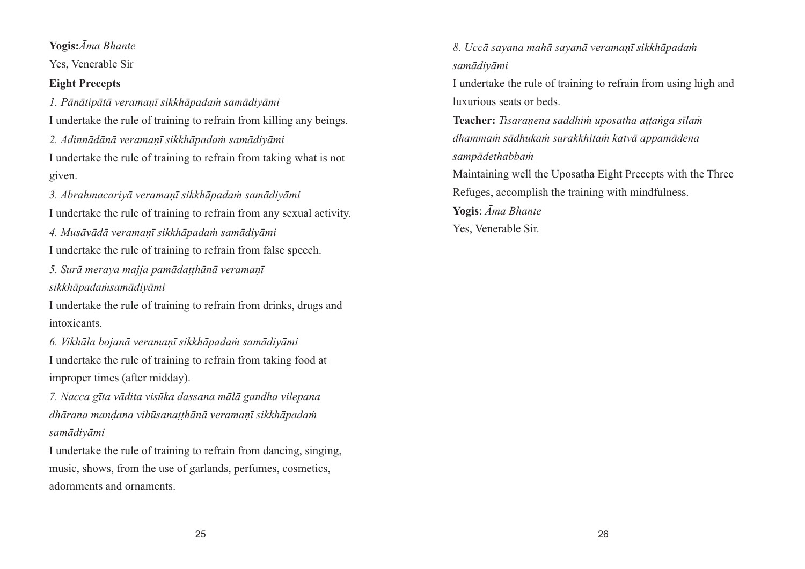**Yogis:***Āma Bhante*

Yes, Venerable Sir

## **Eight Precepts**

*1. Pānātipātā veramaṇī sikkhāpadaṁ samādiyāmi* I undertake the rule of training to refrain from killing any beings.

*2. Adinnādānā veramaṇī sikkhāpadaṁ samādiyāmi* I undertake the rule of training to refrain from taking what is not given.

*3. Abrahmacariyā veramaṇī sikkhāpadaṁ samādiyāmi*

I undertake the rule of training to refrain from any sexual activity.

*4. Musāvādā veramaṇī sikkhāpadaṁ samādiyāmi*

I undertake the rule of training to refrain from false speech.

*5. Surā meraya majja pamādaṭṭhānā veramaṇī* 

*sikkhāpadaṁsamādiyāmi*

I undertake the rule of training to refrain from drinks, drugs and intoxicants.

*6. Vikhāla bojanā veramaṇī sikkhāpadaṁ samādiyāmi* I undertake the rule of training to refrain from taking food at improper times (after midday).

*7. Nacca gīta vādita visūka dassana mālā gandha vilepana dhārana manḍana vibūsanaṭṭhānā veramaṇī sikkhāpadaṁ samādiyāmi*

I undertake the rule of training to refrain from dancing, singing, music, shows, from the use of garlands, perfumes, cosmetics, adornments and ornaments.

*8. Uccā sayana mahā sayanā veramaṇī sikkhāpadaṁ samādiyāmi*

I undertake the rule of training to refrain from using high and luxurious seats or beds.

**Teacher:** *Tisaraṇena saddhiṁ uposatha aṭṭaṅga sīlaṁ dhammaṁ sādhukaṁ surakkhitaṁ katvā appamādena sampādethabbaṁ*

Maintaining well the Uposatha Eight Precepts with the Three Refuges, accomplish the training with mindfulness.

**Yogis**: *Āma Bhante*

Yes, Venerable Sir.